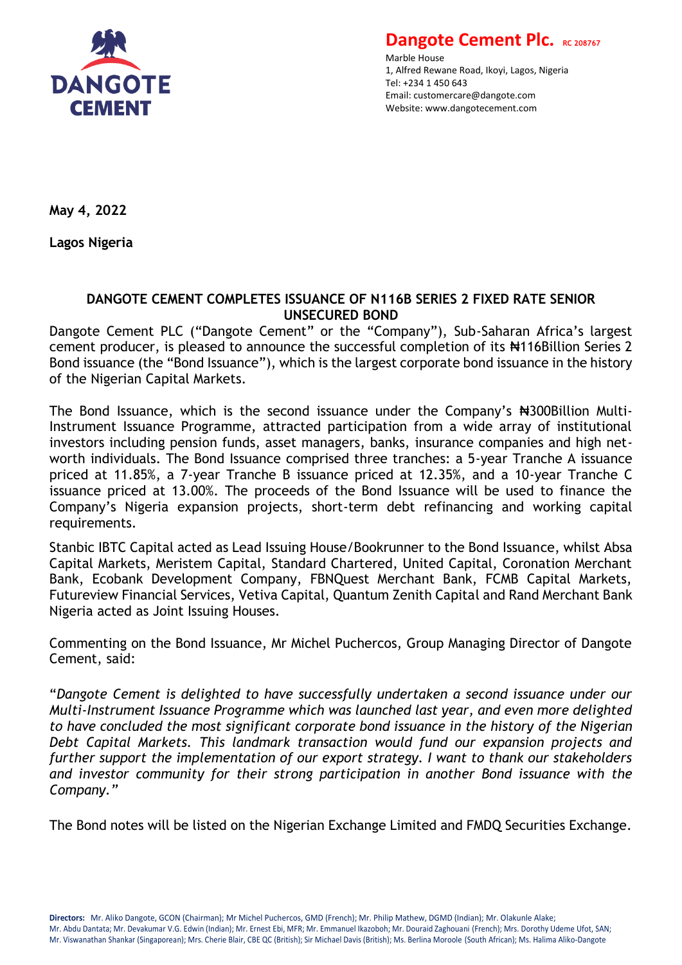

**Dangote Cement Plc. RC 208767** 

Marble House 1, Alfred Rewane Road, Ikoyi, Lagos, Nigeria Tel: +234 1 450 643 Email: customercare@dangote.com Website: www.dangotecement.com

**May 4, 2022**

**Lagos Nigeria**

## **DANGOTE CEMENT COMPLETES ISSUANCE OF N116B SERIES 2 FIXED RATE SENIOR UNSECURED BOND**

Dangote Cement PLC ("Dangote Cement" or the "Company"), Sub-Saharan Africa's largest cement producer, is pleased to announce the successful completion of its #116Billion Series 2 Bond issuance (the "Bond Issuance"), which is the largest corporate bond issuance in the history of the Nigerian Capital Markets.

The Bond Issuance, which is the second issuance under the Company's #300Billion Multi-Instrument Issuance Programme, attracted participation from a wide array of institutional investors including pension funds, asset managers, banks, insurance companies and high networth individuals. The Bond Issuance comprised three tranches: a 5-year Tranche A issuance priced at 11.85%, a 7-year Tranche B issuance priced at 12.35%, and a 10-year Tranche C issuance priced at 13.00%. The proceeds of the Bond Issuance will be used to finance the Company's Nigeria expansion projects, short-term debt refinancing and working capital requirements.

Stanbic IBTC Capital acted as Lead Issuing House/Bookrunner to the Bond Issuance, whilst Absa Capital Markets, Meristem Capital, Standard Chartered, United Capital, Coronation Merchant Bank, Ecobank Development Company, FBNQuest Merchant Bank, FCMB Capital Markets, Futureview Financial Services, Vetiva Capital, Quantum Zenith Capital and Rand Merchant Bank Nigeria acted as Joint Issuing Houses.

Commenting on the Bond Issuance, Mr Michel Puchercos, Group Managing Director of Dangote Cement, said:

"*Dangote Cement is delighted to have successfully undertaken a second issuance under our Multi-Instrument Issuance Programme which was launched last year, and even more delighted to have concluded the most significant corporate bond issuance in the history of the Nigerian Debt Capital Markets. This landmark transaction would fund our expansion projects and further support the implementation of our export strategy. I want to thank our stakeholders and investor community for their strong participation in another Bond issuance with the Company."*

The Bond notes will be listed on the Nigerian Exchange Limited and FMDQ Securities Exchange.